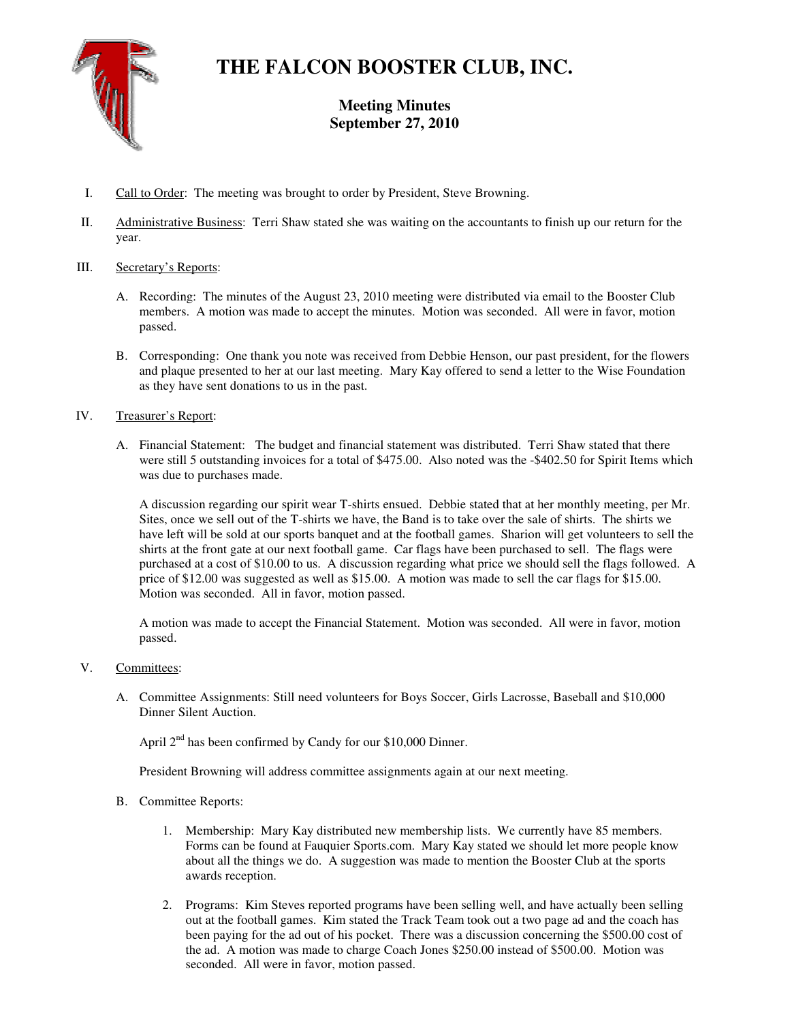

# **THE FALCON BOOSTER CLUB, INC.**

**Meeting Minutes September 27, 2010** 

- I. Call to Order: The meeting was brought to order by President, Steve Browning.
- II. Administrative Business: Terri Shaw stated she was waiting on the accountants to finish up our return for the year.

## III. Secretary's Reports:

- A. Recording: The minutes of the August 23, 2010 meeting were distributed via email to the Booster Club members. A motion was made to accept the minutes. Motion was seconded. All were in favor, motion passed.
- B. Corresponding: One thank you note was received from Debbie Henson, our past president, for the flowers and plaque presented to her at our last meeting. Mary Kay offered to send a letter to the Wise Foundation as they have sent donations to us in the past.

## IV. Treasurer's Report:

A. Financial Statement: The budget and financial statement was distributed. Terri Shaw stated that there were still 5 outstanding invoices for a total of \$475.00. Also noted was the -\$402.50 for Spirit Items which was due to purchases made.

A discussion regarding our spirit wear T-shirts ensued. Debbie stated that at her monthly meeting, per Mr. Sites, once we sell out of the T-shirts we have, the Band is to take over the sale of shirts. The shirts we have left will be sold at our sports banquet and at the football games. Sharion will get volunteers to sell the shirts at the front gate at our next football game. Car flags have been purchased to sell. The flags were purchased at a cost of \$10.00 to us. A discussion regarding what price we should sell the flags followed. A price of \$12.00 was suggested as well as \$15.00. A motion was made to sell the car flags for \$15.00. Motion was seconded. All in favor, motion passed.

A motion was made to accept the Financial Statement. Motion was seconded. All were in favor, motion passed.

## V. Committees:

A. Committee Assignments: Still need volunteers for Boys Soccer, Girls Lacrosse, Baseball and \$10,000 Dinner Silent Auction.

April  $2<sup>nd</sup>$  has been confirmed by Candy for our \$10,000 Dinner.

President Browning will address committee assignments again at our next meeting.

- B. Committee Reports:
	- 1. Membership: Mary Kay distributed new membership lists. We currently have 85 members. Forms can be found at Fauquier Sports.com. Mary Kay stated we should let more people know about all the things we do. A suggestion was made to mention the Booster Club at the sports awards reception.
	- 2. Programs: Kim Steves reported programs have been selling well, and have actually been selling out at the football games. Kim stated the Track Team took out a two page ad and the coach has been paying for the ad out of his pocket. There was a discussion concerning the \$500.00 cost of the ad. A motion was made to charge Coach Jones \$250.00 instead of \$500.00. Motion was seconded. All were in favor, motion passed.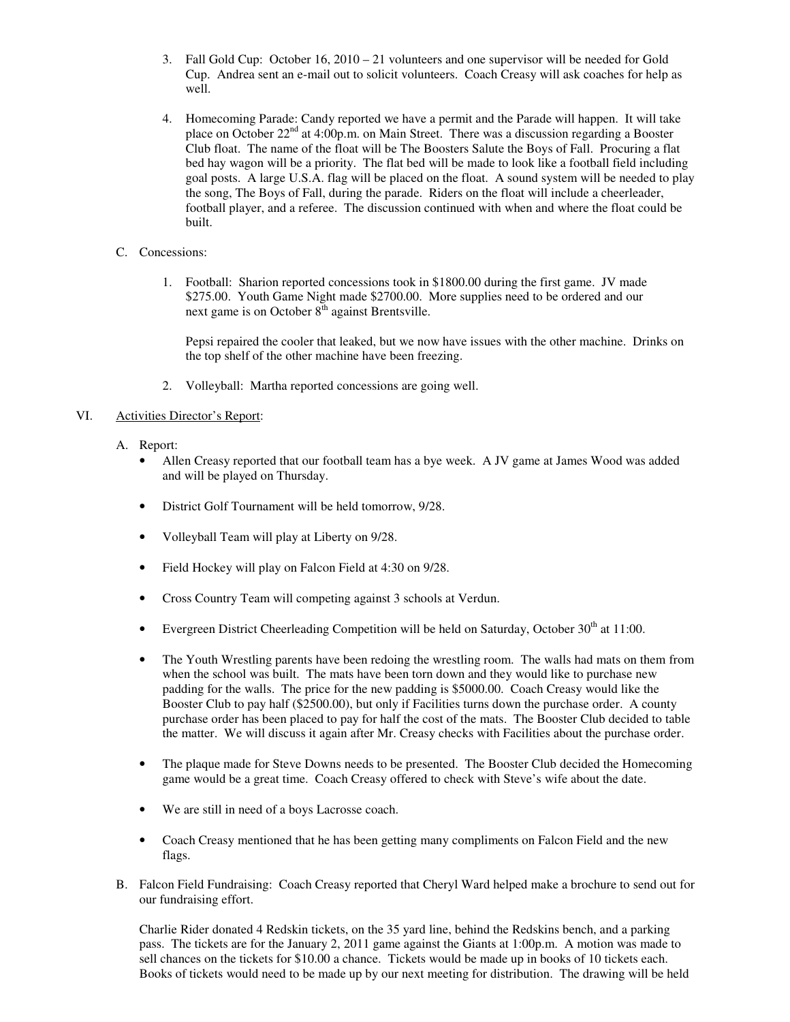- 3. Fall Gold Cup: October 16, 2010 21 volunteers and one supervisor will be needed for Gold Cup. Andrea sent an e-mail out to solicit volunteers. Coach Creasy will ask coaches for help as well.
- 4. Homecoming Parade: Candy reported we have a permit and the Parade will happen. It will take place on October  $22<sup>nd</sup>$  at 4:00p.m. on Main Street. There was a discussion regarding a Booster Club float. The name of the float will be The Boosters Salute the Boys of Fall. Procuring a flat bed hay wagon will be a priority. The flat bed will be made to look like a football field including goal posts. A large U.S.A. flag will be placed on the float. A sound system will be needed to play the song, The Boys of Fall, during the parade. Riders on the float will include a cheerleader, football player, and a referee. The discussion continued with when and where the float could be built.
- C. Concessions:
	- 1. Football: Sharion reported concessions took in \$1800.00 during the first game. JV made \$275.00. Youth Game Night made \$2700.00. More supplies need to be ordered and our next game is on October 8<sup>th</sup> against Brentsville.

Pepsi repaired the cooler that leaked, but we now have issues with the other machine. Drinks on the top shelf of the other machine have been freezing.

2. Volleyball: Martha reported concessions are going well.

## VI. Activities Director's Report:

- A. Report:
	- Allen Creasy reported that our football team has a bye week. A JV game at James Wood was added and will be played on Thursday.
	- District Golf Tournament will be held tomorrow, 9/28.
	- Volleyball Team will play at Liberty on 9/28.
	- Field Hockey will play on Falcon Field at 4:30 on 9/28.
	- Cross Country Team will competing against 3 schools at Verdun.
	- Evergreen District Cheerleading Competition will be held on Saturday, October  $30<sup>th</sup>$  at 11:00.
	- The Youth Wrestling parents have been redoing the wrestling room. The walls had mats on them from when the school was built. The mats have been torn down and they would like to purchase new padding for the walls. The price for the new padding is \$5000.00. Coach Creasy would like the Booster Club to pay half (\$2500.00), but only if Facilities turns down the purchase order. A county purchase order has been placed to pay for half the cost of the mats. The Booster Club decided to table the matter. We will discuss it again after Mr. Creasy checks with Facilities about the purchase order.
	- The plaque made for Steve Downs needs to be presented. The Booster Club decided the Homecoming game would be a great time. Coach Creasy offered to check with Steve's wife about the date.
	- We are still in need of a boys Lacrosse coach.
	- Coach Creasy mentioned that he has been getting many compliments on Falcon Field and the new flags.
- B. Falcon Field Fundraising: Coach Creasy reported that Cheryl Ward helped make a brochure to send out for our fundraising effort.

Charlie Rider donated 4 Redskin tickets, on the 35 yard line, behind the Redskins bench, and a parking pass. The tickets are for the January 2, 2011 game against the Giants at 1:00p.m. A motion was made to sell chances on the tickets for \$10.00 a chance. Tickets would be made up in books of 10 tickets each. Books of tickets would need to be made up by our next meeting for distribution. The drawing will be held